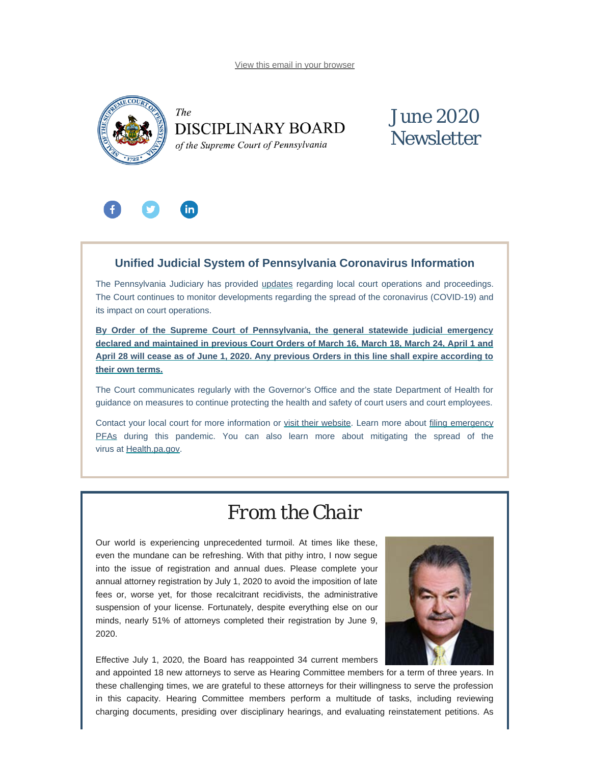[View this email in your browser](#page-0-0)

<span id="page-0-0"></span>



## June 2020 **Newsletter**



### **Unified Judicial System of Pennsylvania Coronavirus Information**

The Pennsylvania Judiciary has provided [updates](http://www.pacourts.us/ujs-coronavirus-information) regarding local court operations and proceedings. The Court continues to monitor developments regarding the spread of the coronavirus (COVID-19) and its impact on court operations.

**[By Order of the Supreme Court of Pennsylvania, the general statewide](http://www.pacourts.us/assets/files/page-1305/file-9376.pdf) judicial emergency [declared and maintained in previous Court Orders of March 16, March 18, March 24, April 1 and](http://www.pacourts.us/assets/files/page-1305/file-9376.pdf) April 28 will cease [as of June 1, 2020. Any previous Orders in this line shall expire according to](http://www.pacourts.us/assets/files/page-1305/file-9376.pdf) [their own terms.](http://www.pacourts.us/assets/files/page-1305/file-9376.pdf)**

The Court communicates regularly with the Governor's Office and the state Department of Health for guidance on measures to continue protecting the health and safety of court users and court employees.

Contact your local court for more information or [visit their website](http://www.pacourts.us/courts/courts-of-common-pleas/). Learn more about [filing emergency](http://www.pacourts.us/learn/protection-orders) [PFAs](http://www.pacourts.us/learn/protection-orders) during this pandemic. You can also learn more about mitigating the spread of the virus at [Health.pa.gov.](https://www.health.pa.gov/topics/disease/Pages/Coronavirus.aspx)

## *From the Chair*

Our world is experiencing unprecedented turmoil. At times like these, even the mundane can be refreshing. With that pithy intro, I now segue into the issue of registration and annual dues. Please complete your annual attorney registration by July 1, 2020 to avoid the imposition of late fees or, worse yet, for those recalcitrant recidivists, the administrative suspension of your license. Fortunately, despite everything else on our minds, nearly 51% of attorneys completed their registration by June 9, 2020.





and appointed 18 new attorneys to serve as Hearing Committee members for a term of three years. In these challenging times, we are grateful to these attorneys for their willingness to serve the profession in this capacity. Hearing Committee members perform a multitude of tasks, including reviewing charging documents, presiding over disciplinary hearings, and evaluating reinstatement petitions. As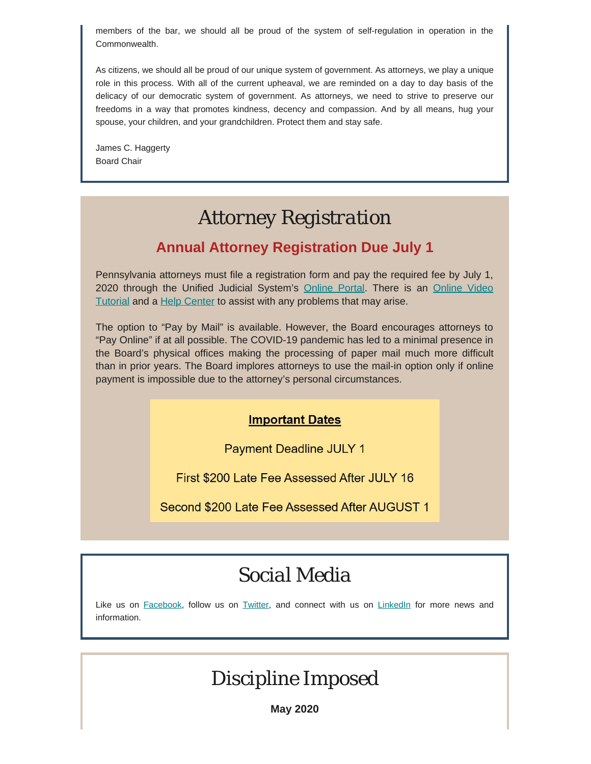members of the bar, we should all be proud of the system of self-regulation in operation in the Commonwealth.

As citizens, we should all be proud of our unique system of government. As attorneys, we play a unique role in this process. With all of the current upheaval, we are reminded on a day to day basis of the delicacy of our democratic system of government. As attorneys, we need to strive to preserve our freedoms in a way that promotes kindness, decency and compassion. And by all means, hug your spouse, your children, and your grandchildren. Protect them and stay safe.

James C. Haggerty Board Chair

## *Attorney Registration*

### **Annual Attorney Registration Due July 1**

Pennsylvania attorneys must file a registration form and pay the required fee by July 1, 2020 through the Unified Judicial System's [Online Portal](https://ujsportal.pacourts.us/LogIn.aspx?showWarning=True&ReturnUrl=%2fSecure%2fAttorneyAnnualRegistration%2fPendingRegistrations.aspx). There is an [Online Video](https://help.pacourts.us/PortalVideoHelp/) [Tutorial](https://help.pacourts.us/PortalVideoHelp/) and a [Help Center](https://ujsportal.pacourts.us/PortalSelfHelp.aspx) to assist with any problems that may arise.

The option to "Pay by Mail" is available. However, the Board encourages attorneys to "Pay Online" if at all possible. The COVID-19 pandemic has led to a minimal presence in the Board's physical offices making the processing of paper mail much more difficult than in prior years. The Board implores attorneys to use the mail-in option only if online payment is impossible due to the attorney's personal circumstances.

### **Important Dates**

**Payment Deadline JULY 1** 

First \$200 Late Fee Assessed After JULY 16

Second \$200 Late Fee Assessed After AUGUST 1

## *Social Media*

Like us on [Facebook](https://www.facebook.com/DBoardPA), follow us on [Twitter,](https://twitter.com/DBoardPa) and connect with us on [LinkedIn](https://www.linkedin.com/company/pennsylvania-disciplinary-board/) for more news and information.

## *Discipline Imposed*

**May 2020**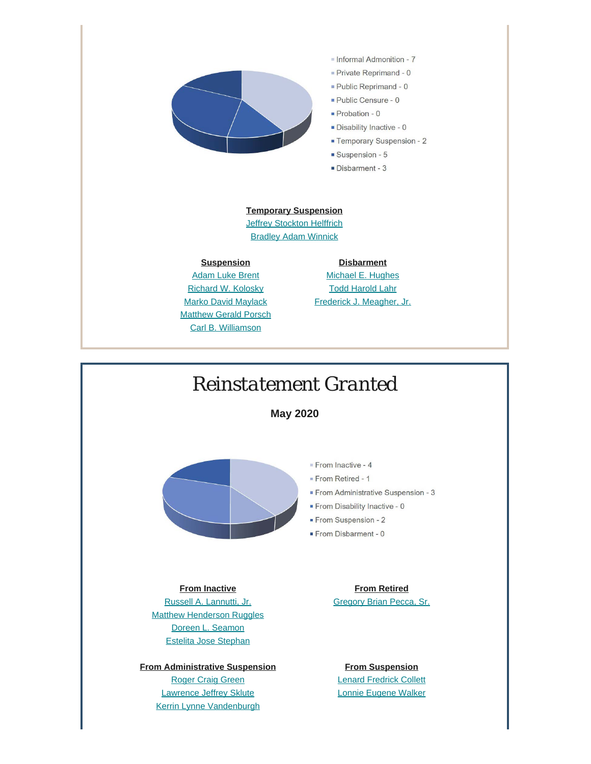

- Informal Admonition 7
- Private Reprimand 0
- Public Reprimand 0
- 
- Temporary Suspension 2
- 
- Disbarment 3

#### **Temporary Suspension**

**[Jeffrey Stockton Helffrich](https://www.padisciplinaryboard.org/for-the-public/find-attorney/attorney-detail/312147)** [Bradley Adam Winnick](https://www.padisciplinaryboard.org/for-the-public/find-attorney/attorney-detail/78413)

#### **Suspension**

**[Adam Luke Brent](https://www.padisciplinaryboard.org/for-the-public/find-attorney/attorney-detail/90834)** [Richard W. Kolosky](https://www.padisciplinaryboard.org/for-the-public/find-attorney/attorney-detail/43599) **[Marko David Maylack](https://www.padisciplinaryboard.org/for-the-public/find-attorney/attorney-detail/90686)** [Matthew Gerald Porsch](https://www.padisciplinaryboard.org/for-the-public/find-attorney/attorney-detail/93666) [Carl B. Williamson](https://www.padisciplinaryboard.org/for-the-public/find-attorney/attorney-detail/53881)

**Disbarment** [Michael E. Hughes](https://www.padisciplinaryboard.org/for-the-public/find-attorney/attorney-detail/93958) [Todd Harold Lahr](https://www.padisciplinaryboard.org/for-the-public/find-attorney/attorney-detail/48799) [Frederick J. Meagher, Jr.](https://www.padisciplinaryboard.org/for-the-public/find-attorney/attorney-detail/25283)

## *Reinstatement Granted*

**May 2020**



### **From Inactive**

[Russell A. Lannutti, Jr.](https://www.padisciplinaryboard.org/for-the-public/find-attorney/attorney-detail/86148) [Matthew Henderson Ruggles](https://www.padisciplinaryboard.org/for-the-public/find-attorney/attorney-detail/204344) [Doreen L. Seamon](https://www.padisciplinaryboard.org/for-the-public/find-attorney/attorney-detail/312464) [Estelita Jose Stephan](https://www.padisciplinaryboard.org/for-the-public/find-attorney/attorney-detail/70494)

**From Administrative Suspension** [Roger Craig Green](https://www.padisciplinaryboard.org/for-the-public/find-attorney/attorney-detail/87236) [Lawrence Jeffrey Sklute](https://www.padisciplinaryboard.org/for-the-public/find-attorney/attorney-detail/62864) [Kerrin Lynne Vandenburgh](https://www.padisciplinaryboard.org/for-the-public/find-attorney/attorney-detail/204099)

#### **From Retired** [Gregory Brian Pecca, Sr.](https://www.padisciplinaryboard.org/for-the-public/find-attorney/attorney-detail/88997)

**From Suspension** [Lenard Fredrick Collett](https://www.padisciplinaryboard.org/for-the-public/find-attorney/attorney-detail/150064) [Lonnie Eugene Walker](https://www.padisciplinaryboard.org/for-the-public/find-attorney/attorney-detail/21162)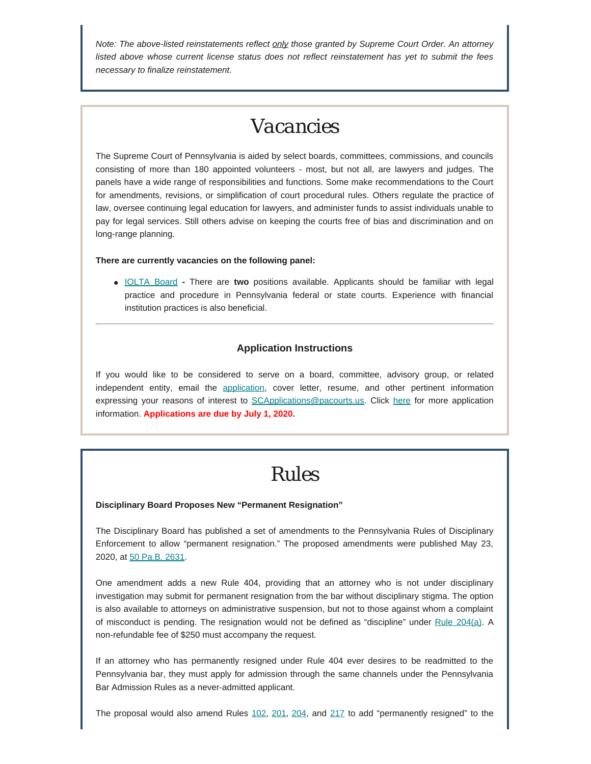*Note: The above-listed reinstatements reflect only those granted by Supreme Court Order. An attorney listed above whose current license status does not reflect reinstatement has yet to submit the fees necessary to finalize reinstatement.*

### *Vacancies*

The Supreme Court of Pennsylvania is aided by select boards, committees, commissions, and councils consisting of more than 180 appointed volunteers - most, but not all, are lawyers and judges. The panels have a wide range of responsibilities and functions. Some make recommendations to the Court for amendments, revisions, or simplification of court procedural rules. Others regulate the practice of law, oversee continuing legal education for lawyers, and administer funds to assist individuals unable to pay for legal services. Still others advise on keeping the courts free of bias and discrimination and on long-range planning.

#### **There are currently vacancies on the following panel:**

[IOLTA Board](http://www.pacourts.us/courts/supreme-court/committees/) **-** There are **two** positions available. Applicants should be familiar with legal practice and procedure in Pennsylvania federal or state courts. Experience with financial institution practices is also beneficial.

#### **Application Instructions**

If you would like to be considered to serve on a board, committee, advisory group, or related independent entity, email the [application](http://www.pacourts.us/assets/files/setting-1943/file-58.pdf?cb=178bf0), cover letter, resume, and other pertinent information expressing your reasons of interest to [SCApplications@pacourts.us](mailto:SCApplications@pacourts.us). Click [here](http://www.pacourts.us/courts/supreme-court/committees/) for more application information. **Applications are due by July 1, 2020.**

## *Rules*

#### **Disciplinary Board Proposes New "Permanent Resignation"**

The Disciplinary Board has published a set of amendments to the Pennsylvania Rules of Disciplinary Enforcement to allow "permanent resignation." The proposed amendments were published May 23, 2020, at [50 Pa.B. 2631](http://www.pacodeandbulletin.gov/Display/pabull?file=/secure/pabulletin/data/vol50/50-21/683.html).

One amendment adds a new Rule 404, providing that an attorney who is not under disciplinary investigation may submit for permanent resignation from the bar without disciplinary stigma. The option is also available to attorneys on administrative suspension, but not to those against whom a complaint of misconduct is pending. The resignation would not be defined as "discipline" under [Rule 204\(a\)](https://www.padisciplinaryboard.org/for-attorneys/rules/rule/5/the-pennsylvania-rules-of-disciplinary-enforcement#rule-20). A non-refundable fee of \$250 must accompany the request.

If an attorney who has permanently resigned under Rule 404 ever desires to be readmitted to the Pennsylvania bar, they must apply for admission through the same channels under the Pennsylvania Bar Admission Rules as a never-admitted applicant.

The proposal would also amend Rules [102,](https://www.padisciplinaryboard.org/for-attorneys/rules/rule/5/the-pennsylvania-rules-of-disciplinary-enforcement#rule-14) [201,](https://www.padisciplinaryboard.org/for-attorneys/rules/rule/5/the-pennsylvania-rules-of-disciplinary-enforcement#rule-17) [204](https://www.padisciplinaryboard.org/for-attorneys/rules/rule/5/the-pennsylvania-rules-of-disciplinary-enforcement#rule-20), and [217](https://www.padisciplinaryboard.org/for-attorneys/rules/rule/5/the-pennsylvania-rules-of-disciplinary-enforcement#rule-33) to add "permanently resigned" to the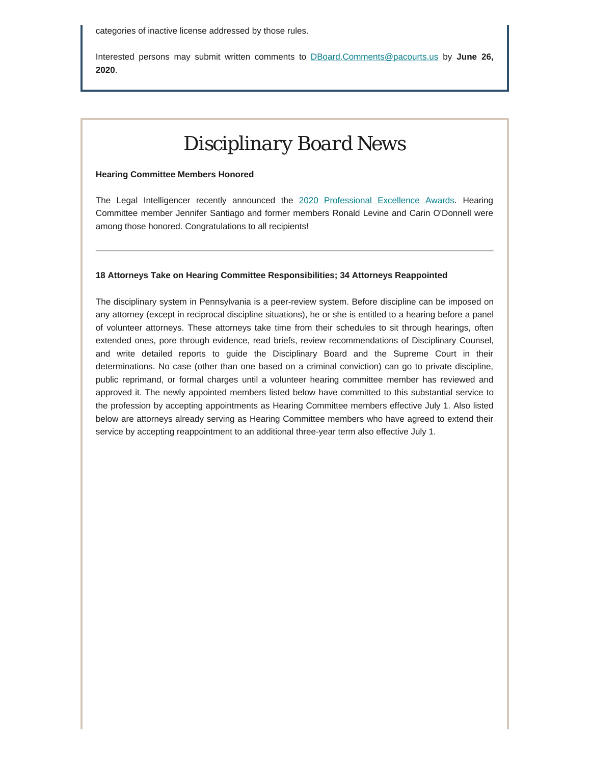Interested persons may submit written comments to [DBoard.Comments@pacourts.us](mailto:Dboard.comments@pacourts.us) by **June 26, 2020**.

# *Disciplinary Board News*

#### **Hearing Committee Members Honored**

The Legal Intelligencer recently announced the [2020 Professional Excellence Awards](https://www.law.com/thelegalintelligencer/2020/05/28/the-legal-intelligencer-announces-2020-professional-excellence-award-winners/?kw=The%20Legal%20Intelligencer%20Announces%202020%20Professional%20Excellence%20Award%20Winners&utm_source=email&utm_medium=enl&utm_campaign=newsroomupdate&utm_content=20200528&utm_term=tli). Hearing Committee member Jennifer Santiago and former members Ronald Levine and Carin O'Donnell were among those honored. Congratulations to all recipients!

#### **18 Attorneys Take on Hearing Committee Responsibilities; 34 Attorneys Reappointed**

The disciplinary system in Pennsylvania is a peer-review system. Before discipline can be imposed on any attorney (except in reciprocal discipline situations), he or she is entitled to a hearing before a panel of volunteer attorneys. These attorneys take time from their schedules to sit through hearings, often extended ones, pore through evidence, read briefs, review recommendations of Disciplinary Counsel, and write detailed reports to guide the Disciplinary Board and the Supreme Court in their determinations. No case (other than one based on a criminal conviction) can go to private discipline, public reprimand, or formal charges until a volunteer hearing committee member has reviewed and approved it. The newly appointed members listed below have committed to this substantial service to the profession by accepting appointments as Hearing Committee members effective July 1. Also listed below are attorneys already serving as Hearing Committee members who have agreed to extend their service by accepting reappointment to an additional three-year term also effective July 1.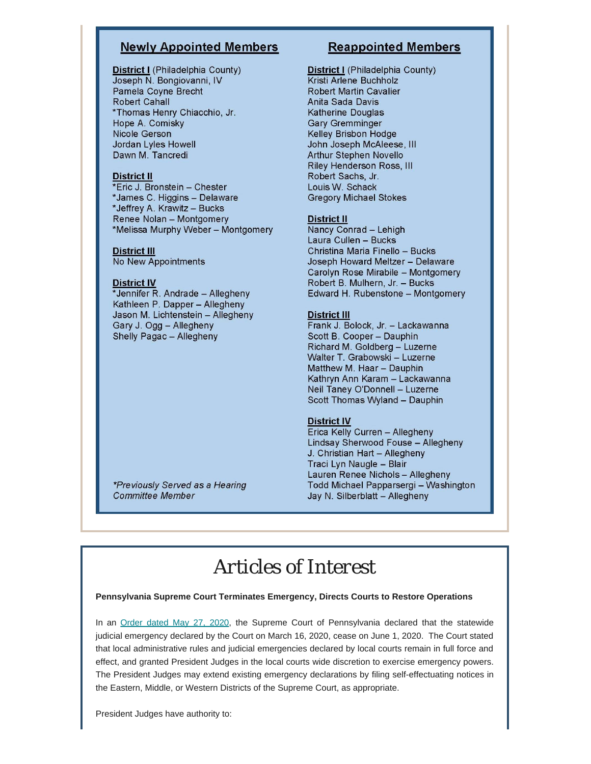### **Newly Appointed Members**

District I (Philadelphia County) Joseph N. Bongiovanni, IV Pamela Coyne Brecht **Robert Cahall** \*Thomas Henry Chiacchio, Jr. Hope A. Comisky Nicole Gerson Jordan Lyles Howell Dawn M. Tancredi

#### **District II**

\*Eric J. Bronstein - Chester \*James C. Higgins - Delaware \*Jeffrey A. Krawitz - Bucks Renee Nolan - Montgomery \*Melissa Murphy Weber - Montgomery

#### **District III**

No New Appointments

#### **District IV**

\*Jennifer R. Andrade - Allegheny Kathleen P. Dapper - Allegheny Jason M. Lichtenstein - Allegheny Gary J. Ogg - Allegheny Shelly Pagac - Allegheny

### **Reappointed Members**

District I (Philadelphia County) Kristi Arlene Buchholz **Robert Martin Cavalier** Anita Sada Davis Katherine Douglas **Gary Gremminger** Kelley Brisbon Hodge John Joseph McAleese, III Arthur Stephen Novello Riley Henderson Ross, III Robert Sachs, Jr. Louis W. Schack **Gregory Michael Stokes** 

#### **District II**

Nancy Conrad - Lehigh Laura Cullen - Bucks Christina Maria Finello - Bucks Joseph Howard Meltzer - Delaware Carolyn Rose Mirabile - Montgomery Robert B. Mulhern, Jr. - Bucks Edward H. Rubenstone - Montgomery

#### **District III**

Frank J. Bolock, Jr. - Lackawanna Scott B. Cooper - Dauphin Richard M. Goldberg - Luzerne Walter T. Grabowski - Luzerne Matthew M. Haar - Dauphin Kathryn Ann Karam - Lackawanna Neil Taney O'Donnell - Luzerne Scott Thomas Wyland - Dauphin

#### **District IV**

Erica Kelly Curren - Allegheny Lindsay Sherwood Fouse - Allegheny J. Christian Hart - Allegheny Traci Lyn Naugle - Blair Lauren Renee Nichols - Allegheny Todd Michael Papparsergi - Washington Jay N. Silberblatt - Allegheny

\*Previously Served as a Hearing **Committee Member** 

## *Articles of Interest*

#### **Pennsylvania Supreme Court Terminates Emergency, Directs Courts to Restore Operations**

In an [Order dated May 27, 2020,](http://www.pacourts.us/assets/files/page-1305/file-9376.pdf) the Supreme Court of Pennsylvania declared that the statewide judicial emergency declared by the Court on March 16, 2020, cease on June 1, 2020. The Court stated that local administrative rules and judicial emergencies declared by local courts remain in full force and effect, and granted President Judges in the local courts wide discretion to exercise emergency powers. The President Judges may extend existing emergency declarations by filing self-effectuating notices in the Eastern, Middle, or Western Districts of the Supreme Court, as appropriate.

President Judges have authority to: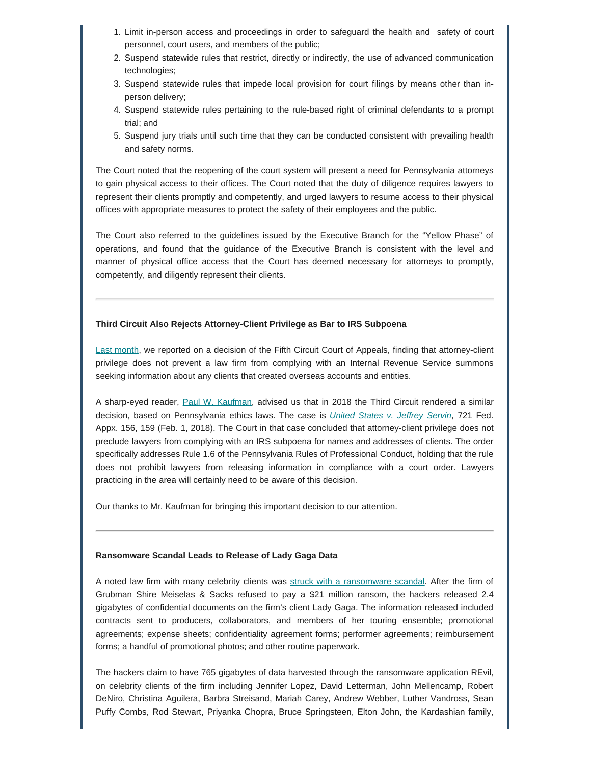- 1. Limit in-person access and proceedings in order to safeguard the health and safety of court personnel, court users, and members of the public;
- 2. Suspend statewide rules that restrict, directly or indirectly, the use of advanced communication technologies;
- 3. Suspend statewide rules that impede local provision for court filings by means other than inperson delivery;
- 4. Suspend statewide rules pertaining to the rule-based right of criminal defendants to a prompt trial; and
- 5. Suspend jury trials until such time that they can be conducted consistent with prevailing health and safety norms.

The Court noted that the reopening of the court system will present a need for Pennsylvania attorneys to gain physical access to their offices. The Court noted that the duty of diligence requires lawyers to represent their clients promptly and competently, and urged lawyers to resume access to their physical offices with appropriate measures to protect the safety of their employees and the public.

The Court also referred to the guidelines issued by the Executive Branch for the "Yellow Phase" of operations, and found that the guidance of the Executive Branch is consistent with the level and manner of physical office access that the Court has deemed necessary for attorneys to promptly, competently, and diligently represent their clients.

#### **Third Circuit Also Rejects Attorney-Client Privilege as Bar to IRS Subpoena**

[Last month](https://www.padisciplinaryboard.org/attorney-news-may-2020), we reported on a decision of the Fifth Circuit Court of Appeals, finding that attorney-client privilege does not prevent a law firm from complying with an Internal Revenue Service summons seeking information about any clients that created overseas accounts and entities.

A sharp-eyed reader, [Paul W. Kaufman](https://www.law.upenn.edu/cf/faculty/pkaufman/), advised us that in 2018 the Third Circuit rendered a similar decision, based on Pennsylvania ethics laws. The case is *[United States v. Jeffrey Servin](http://www2.ca3.uscourts.gov/opinarch/171371np.pdf)*, 721 Fed. Appx. 156, 159 (Feb. 1, 2018). The Court in that case concluded that attorney-client privilege does not preclude lawyers from complying with an IRS subpoena for names and addresses of clients. The order specifically addresses Rule 1.6 of the Pennsylvania Rules of Professional Conduct, holding that the rule does not prohibit lawyers from releasing information in compliance with a court order. Lawyers practicing in the area will certainly need to be aware of this decision.

Our thanks to Mr. Kaufman for bringing this important decision to our attention.

#### **Ransomware Scandal Leads to Release of Lady Gaga Data**

A noted law firm with many celebrity clients was [struck with a ransomware scandal](https://abovethelaw.com/2020/05/lady-gaga-documents-leaked-after-law-firm-was-hacked/?utm_campaign=ATL%20Weekly&utm_source=hs_email&utm_medium=email&utm_content=88156189&_hsenc=p2ANqtz--BQIHrwvO8bNJWv8uXYnn98gIUDpYNkjdLDO-Co19olqld3WPDBO0IhdXElhvNh6f4Hwx4f23rC438PEuyaxioB63T0w&_hsmi=88156189). After the firm of Grubman Shire Meiselas & Sacks refused to pay a \$21 million ransom, the hackers released 2.4 gigabytes of confidential documents on the firm's client Lady Gaga. The information released included contracts sent to producers, collaborators, and members of her touring ensemble; promotional agreements; expense sheets; confidentiality agreement forms; performer agreements; reimbursement forms; a handful of promotional photos; and other routine paperwork.

The hackers claim to have 765 gigabytes of data harvested through the ransomware application REvil, on celebrity clients of the firm including Jennifer Lopez, David Letterman, John Mellencamp, Robert DeNiro, Christina Aguilera, Barbra Streisand, Mariah Carey, Andrew Webber, Luther Vandross, Sean Puffy Combs, Rod Stewart, Priyanka Chopra, Bruce Springsteen, Elton John, the Kardashian family,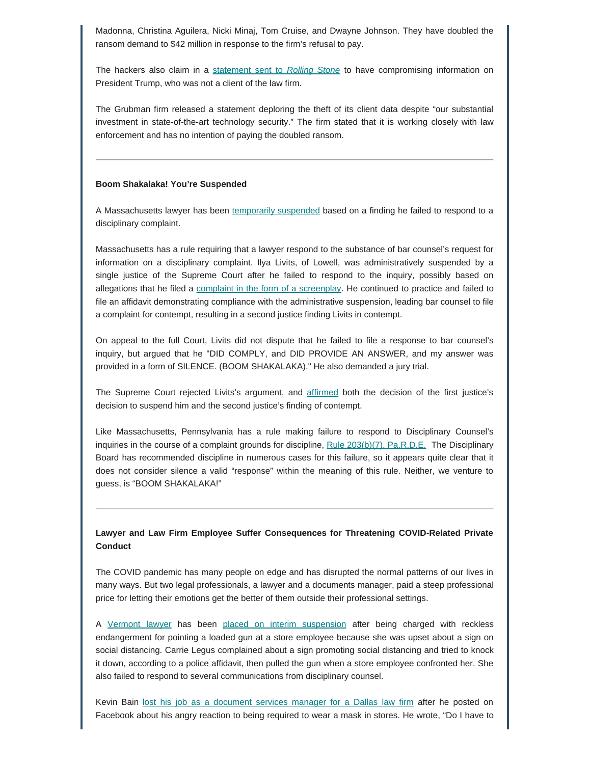Madonna, Christina Aguilera, Nicki Minaj, Tom Cruise, and Dwayne Johnson. They have doubled the ransom demand to \$42 million in response to the firm's refusal to pay.

The hackers also claim in a [statement sent to](https://www.rollingstone.com/music/music-news/lady-gaga-hack-1000092/) *[Rolling Stone](https://www.rollingstone.com/music/music-news/lady-gaga-hack-1000092/)* to have compromising information on President Trump, who was not a client of the law firm.

The Grubman firm released a statement deploring the theft of its client data despite "our substantial investment in state-of-the-art technology security." The firm stated that it is working closely with law enforcement and has no intention of paying the doubled ransom.

#### **Boom Shakalaka! You're Suspended**

A Massachusetts lawyer has been [temporarily suspended](https://www.mass.gov/files/documents/2020/05/12/f12732.pdf) based on a finding he failed to respond to a disciplinary complaint.

Massachusetts has a rule requiring that a lawyer respond to the substance of bar counsel's request for information on a disciplinary complaint. Ilya Livits, of Lowell, was administratively suspended by a single justice of the Supreme Court after he failed to respond to the inquiry, possibly based on allegations that he filed a [complaint in the form of a screenplay.](https://www.abajournal.com/news/article/lawyer-contends-silence.-boom-shakalaka-satisfies-ethics-rule-top-state-court-disagrees) He continued to practice and failed to file an affidavit demonstrating compliance with the administrative suspension, leading bar counsel to file a complaint for contempt, resulting in a second justice finding Livits in contempt.

On appeal to the full Court, Livits did not dispute that he failed to file a response to bar counsel's inquiry, but argued that he "DID COMPLY, and DID PROVIDE AN ANSWER, and my answer was provided in a form of SILENCE. (BOOM SHAKALAKA)." He also demanded a jury trial.

The Supreme Court rejected Livits's argument, and [affirmed](https://lawprofessors.typepad.com/legal_profession/2020/05/the-massachusetts-supreme-judicial-court-affirmed-a-contempt-on-june-6-2019-bar-counsel-filed-a-complaint-for-contempt-al.html) both the decision of the first justice's decision to suspend him and the second justice's finding of contempt.

Like Massachusetts, Pennsylvania has a rule making failure to respond to Disciplinary Counsel's inquiries in the course of a complaint grounds for discipline, [Rule 203\(b\)\(7\), Pa.R.D.E.](https://www.padisciplinaryboard.org/for-attorneys/rules/rule/5/#p-rule-70) The Disciplinary Board has recommended discipline in numerous cases for this failure, so it appears quite clear that it does not consider silence a valid "response" within the meaning of this rule. Neither, we venture to guess, is "BOOM SHAKALAKA!"

#### **Lawyer and Law Firm Employee Suffer Consequences for Threatening COVID-Related Private Conduct**

The COVID pandemic has many people on edge and has disrupted the normal patterns of our lives in many ways. But two legal professionals, a lawyer and a documents manager, paid a steep professional price for letting their emotions get the better of them outside their professional settings.

A [Vermont lawyer](https://www.abajournal.com/news/article/lawyer-accused-of-pulling-gun-on-store-clerk-in-social-distancing-tiff-gets-interim-suspension) has been [placed on interim suspension](https://lawprofessors.typepad.com/legal_profession/2020/05/the-vermont-supreme-court-has-ordered-an-attorneys-interim-suspension-as-set-forth-in-the-petition-for-immediate-interim-sus.html) after being charged with reckless endangerment for pointing a loaded gun at a store employee because she was upset about a sign on social distancing. Carrie Legus complained about a sign promoting social distancing and tried to knock it down, according to a police affidavit, then pulled the gun when a store employee confronted her. She also failed to respond to several communications from disciplinary counsel.

Kevin Bain [lost his job as a document services manager for a Dallas law firm](https://www.dallasnews.com/news/public-health/2020/05/11/dallas-law-firm-fires-employee-after-threatening-post-about-his-gun-covid-19-mask-requirements/) after he posted on Facebook about his angry reaction to being required to wear a mask in stores. He wrote, "Do I have to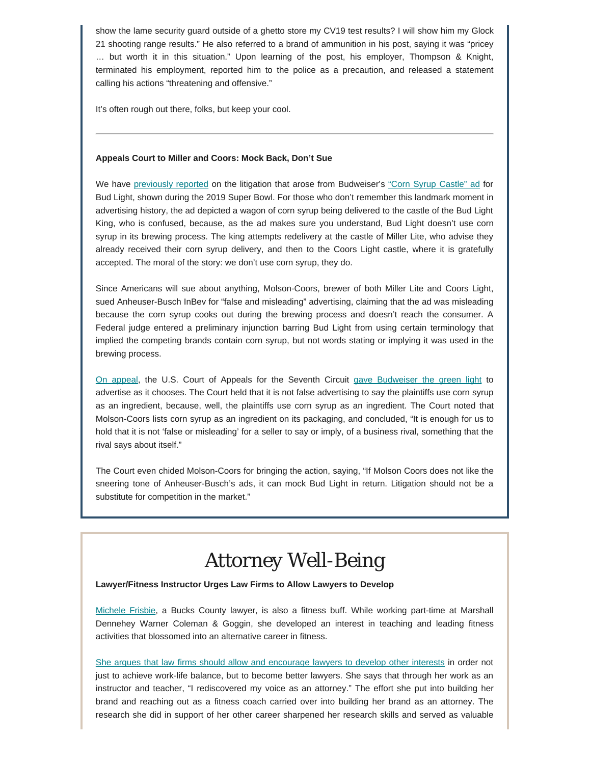show the lame security guard outside of a ghetto store my CV19 test results? I will show him my Glock 21 shooting range results." He also referred to a brand of ammunition in his post, saying it was "pricey … but worth it in this situation." Upon learning of the post, his employer, Thompson & Knight, terminated his employment, reported him to the police as a precaution, and released a statement calling his actions "threatening and offensive."

It's often rough out there, folks, but keep your cool.

#### **Appeals Court to Miller and Coors: Mock Back, Don't Sue**

We have [previously reported](https://www.padisciplinaryboard.org/Storage/media/pdfs/20190611/175707-attorneynews06-2019.pdf) on the litigation that arose from Budweiser's ["Corn Syrup Castle" ad](https://www.youtube.com/watch?v=2HqHA0MFlkY) for Bud Light, shown during the 2019 Super Bowl. For those who don't remember this landmark moment in advertising history, the ad depicted a wagon of corn syrup being delivered to the castle of the Bud Light King, who is confused, because, as the ad makes sure you understand, Bud Light doesn't use corn syrup in its brewing process. The king attempts redelivery at the castle of Miller Lite, who advise they already received their corn syrup delivery, and then to the Coors Light castle, where it is gratefully accepted. The moral of the story: we don't use corn syrup, they do.

Since Americans will sue about anything, Molson-Coors, brewer of both Miller Lite and Coors Light, sued Anheuser-Busch InBev for "false and misleading" advertising, claiming that the ad was misleading because the corn syrup cooks out during the brewing process and doesn't reach the consumer. A Federal judge entered a preliminary injunction barring Bud Light from using certain terminology that implied the competing brands contain corn syrup, but not words stating or implying it was used in the brewing process.

[On appeal](https://www.mediapost.com/publications/article/350991/simple-court-says-bud-lights-corn-syrup-ad-tol.html?fbclid=IwAR19mPg3gcn0YVhQVLfPKPz7qHjgJoO7b-XiB_f_-iP_V1S8VLBKvwcHAsE), the U.S. Court of Appeals for the Seventh Circuit [gave Budweiser the green light](http://media.ca7.uscourts.gov/cgi-bin/rssExec.pl?Submit=Display&Path=Y2020/D05-01/C:19-2200:J:Easterbrook:aut:T:fnOp:N:2509617:S:0) to advertise as it chooses. The Court held that it is not false advertising to say the plaintiffs use corn syrup as an ingredient, because, well, the plaintiffs use corn syrup as an ingredient. The Court noted that Molson-Coors lists corn syrup as an ingredient on its packaging, and concluded, "It is enough for us to hold that it is not 'false or misleading' for a seller to say or imply, of a business rival, something that the rival says about itself."

The Court even chided Molson-Coors for bringing the action, saying, "If Molson Coors does not like the sneering tone of Anheuser-Busch's ads, it can mock Bud Light in return. Litigation should not be a substitute for competition in the market."

## *Attorney Well-Being*

#### **Lawyer/Fitness Instructor Urges Law Firms to Allow Lawyers to Develop**

[Michele Frisbie](https://marshalldennehey.com/attorneys/michele-p-frisbie), a Bucks County lawyer, is also a fitness buff. While working part-time at Marshall Dennehey Warner Coleman & Goggin, she developed an interest in teaching and leading fitness activities that blossomed into an alternative career in fitness.

[She argues that law firms should allow and encourage lawyers to develop other interests](https://t.co/vz1A7R1PE8?amp=1) in order not just to achieve work-life balance, but to become better lawyers. She says that through her work as an instructor and teacher, "I rediscovered my voice as an attorney." The effort she put into building her brand and reaching out as a fitness coach carried over into building her brand as an attorney. The research she did in support of her other career sharpened her research skills and served as valuable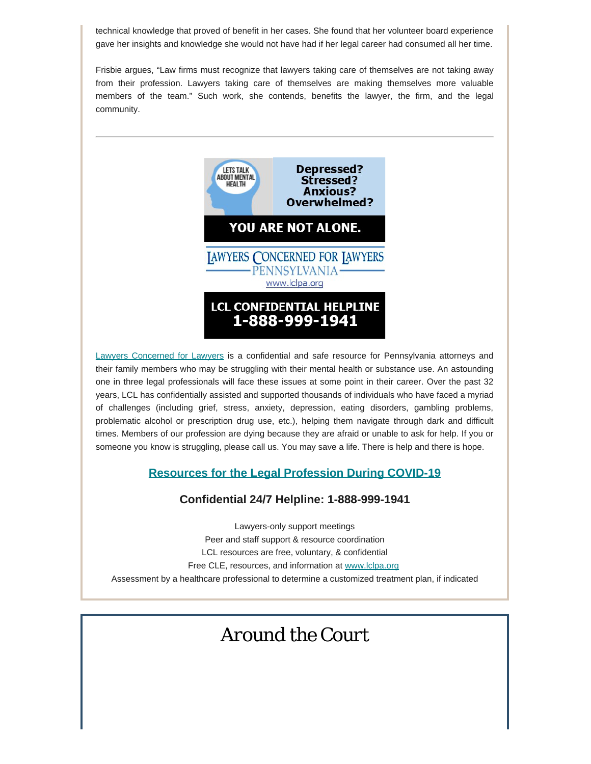technical knowledge that proved of benefit in her cases. She found that her volunteer board experience gave her insights and knowledge she would not have had if her legal career had consumed all her time.

Frisbie argues, "Law firms must recognize that lawyers taking care of themselves are not taking away from their profession. Lawyers taking care of themselves are making themselves more valuable members of the team." Such work, she contends, benefits the lawyer, the firm, and the legal community.



[Lawyers Concerned for Lawyers](https://www.lclpa.org/) is a confidential and safe resource for Pennsylvania attorneys and their family members who may be struggling with their mental health or substance use. An astounding one in three legal professionals will face these issues at some point in their career. Over the past 32 years, LCL has confidentially assisted and supported thousands of individuals who have faced a myriad of challenges (including grief, stress, anxiety, depression, eating disorders, gambling problems, problematic alcohol or prescription drug use, etc.), helping them navigate through dark and difficult times. Members of our profession are dying because they are afraid or unable to ask for help. If you or someone you know is struggling, please call us. You may save a life. There is help and there is hope.

### **[Resources for the Legal Profession During COVID-19](https://www.lclpa.org/wp-content/uploads/2020/06/LCL-PA-June-9-2020-COVID-Resources-Update-GEN.DISTR_..pdf)**

### **Confidential 24/7 Helpline: 1-888-999-1941**

Lawyers-only support meetings Peer and staff support & resource coordination LCL resources are free, voluntary, & confidential Free CLE, resources, and information at [www.lclpa.org](https://www.lclpa.org/) Assessment by a healthcare professional to determine a customized treatment plan, if indicated

### *Around the Court*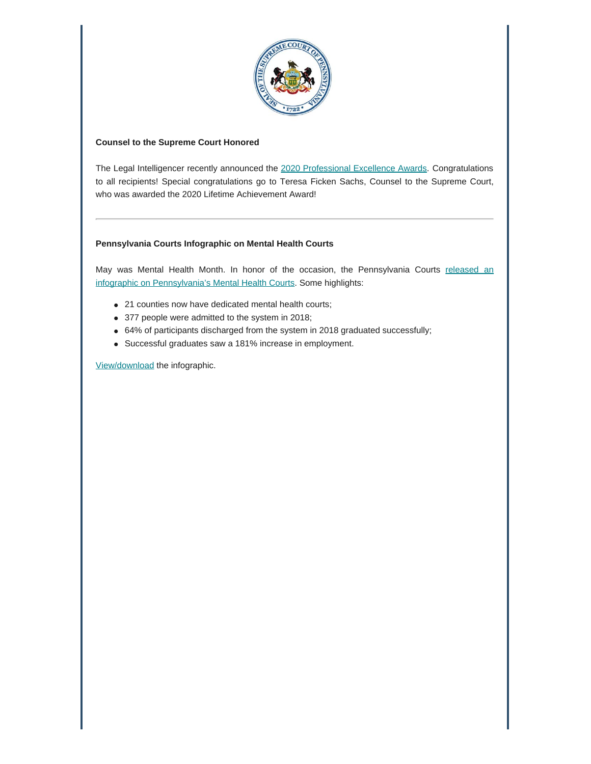

#### **Counsel to the Supreme Court Honored**

The Legal Intelligencer recently announced the [2020 Professional Excellence Awards](https://www.law.com/thelegalintelligencer/2020/05/28/the-legal-intelligencer-announces-2020-professional-excellence-award-winners/?kw=The%20Legal%20Intelligencer%20Announces%202020%20Professional%20Excellence%20Award%20Winners&utm_source=email&utm_medium=enl&utm_campaign=newsroomupdate&utm_content=20200528&utm_term=tli). Congratulations to all recipients! Special congratulations go to Teresa Ficken Sachs, Counsel to the Supreme Court, who was awarded the 2020 Lifetime Achievement Award!

#### **Pennsylvania Courts Infographic on Mental Health Courts**

May was Mental Health Month. In honor of the occasion, the Pennsylvania Courts [released an](http://www.pacourts.us/news-and-statistics/news?Article=1029) [infographic on Pennsylvania's Mental Health Courts](http://www.pacourts.us/news-and-statistics/news?Article=1029). Some highlights:

- 21 counties now have dedicated mental health courts;
- 377 people were admitted to the system in 2018;
- 64% of participants discharged from the system in 2018 graduated successfully;
- Successful graduates saw a 181% increase in employment.

[View/download](http://www.pacourts.us/assets/images/mediaresource-9242-2550x3300/image-9242.jpg) the infographic.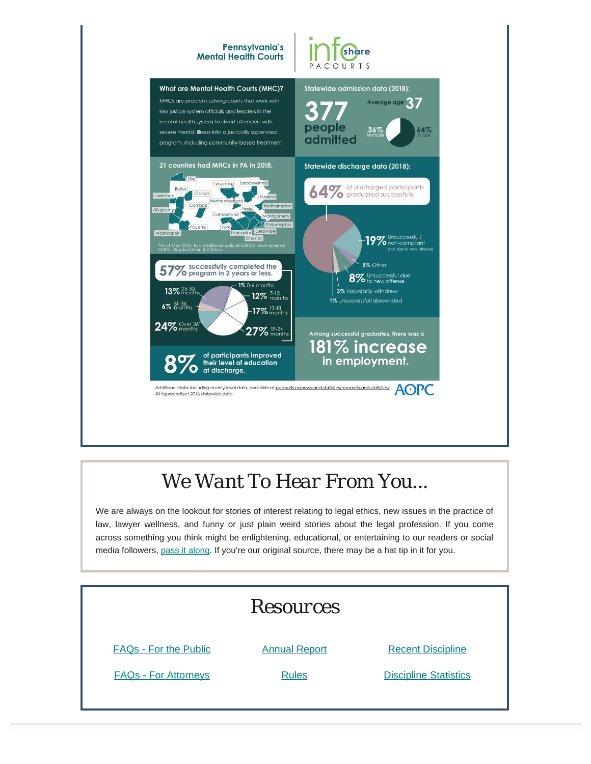

# *We Want To Hear From You...*

We are always on the lookout for stories of interest relating to legal ethics, new issues in the practice of law, lawyer wellness, and funny or just plain weird stories about the legal profession. If you come across something you think might be enlightening, educational, or entertaining to our readers or social media followers, [pass it along](mailto:dboard.news@pacourts.us). If you're our original source, there may be a hat tip in it for you.

| <b>Resources</b>             |                      |                              |
|------------------------------|----------------------|------------------------------|
| <b>FAQs - For the Public</b> | <b>Annual Report</b> | <b>Recent Discipline</b>     |
| <b>FAQs - For Attorneys</b>  | <b>Rules</b>         | <b>Discipline Statistics</b> |
|                              |                      |                              |